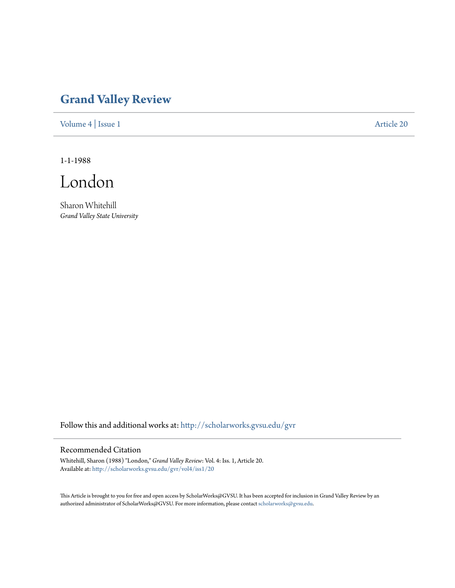## **[Grand Valley Review](http://scholarworks.gvsu.edu/gvr?utm_source=scholarworks.gvsu.edu%2Fgvr%2Fvol4%2Fiss1%2F20&utm_medium=PDF&utm_campaign=PDFCoverPages)**

[Volume 4](http://scholarworks.gvsu.edu/gvr/vol4?utm_source=scholarworks.gvsu.edu%2Fgvr%2Fvol4%2Fiss1%2F20&utm_medium=PDF&utm_campaign=PDFCoverPages) | [Issue 1](http://scholarworks.gvsu.edu/gvr/vol4/iss1?utm_source=scholarworks.gvsu.edu%2Fgvr%2Fvol4%2Fiss1%2F20&utm_medium=PDF&utm_campaign=PDFCoverPages) [Article 20](http://scholarworks.gvsu.edu/gvr/vol4/iss1/20?utm_source=scholarworks.gvsu.edu%2Fgvr%2Fvol4%2Fiss1%2F20&utm_medium=PDF&utm_campaign=PDFCoverPages)

1-1-1988

London

Sharon Whitehill *Grand Valley State University*

Follow this and additional works at: [http://scholarworks.gvsu.edu/gvr](http://scholarworks.gvsu.edu/gvr?utm_source=scholarworks.gvsu.edu%2Fgvr%2Fvol4%2Fiss1%2F20&utm_medium=PDF&utm_campaign=PDFCoverPages)

## Recommended Citation

Whitehill, Sharon (1988) "London," *Grand Valley Review*: Vol. 4: Iss. 1, Article 20. Available at: [http://scholarworks.gvsu.edu/gvr/vol4/iss1/20](http://scholarworks.gvsu.edu/gvr/vol4/iss1/20?utm_source=scholarworks.gvsu.edu%2Fgvr%2Fvol4%2Fiss1%2F20&utm_medium=PDF&utm_campaign=PDFCoverPages)

This Article is brought to you for free and open access by ScholarWorks@GVSU. It has been accepted for inclusion in Grand Valley Review by an authorized administrator of ScholarWorks@GVSU. For more information, please contact [scholarworks@gvsu.edu.](mailto:scholarworks@gvsu.edu)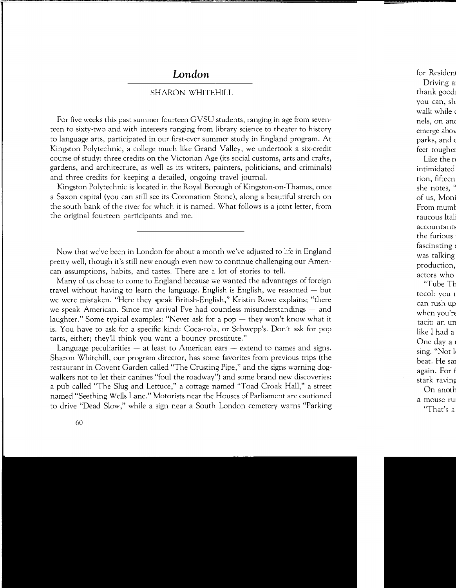## *London*

## SHARON WHITEHILL

For five weeks this past summer fourteen GVSU students, ranging in age from seventeen to sixty-two and with interests ranging from library science to theater to history to language arts, participated in our first-ever summer study in England program. At Kingston Polytechnic, a college much like Grand Valley, we undertook a six-credit course of study: three credits on the Victorian Age (its social customs, arts and crafts, gardens, and architecture, as well as its writers, painters, politicians, and criminals) and three credits for keeping a detailed, ongoing travel journal.

Kingston Polytechnic is located in the Royal Borough of Kingston-on-Thames, once a Saxon capital (you can still see its Coronation Stone), along a beautiful stretch on the south bank of the river for which it is named. What follows is a joint letter, from the original fourteen participants and me.

Now that we've been in London for about a month we've adjusted to life in England pretty well, though it's still new enough even now to continue challenging our American assumptions, habits, and tastes. There are a lot of stories to tell.

Many of us chose to come to England because we wanted the advantages of foreign travel without having to learn the language. English is English, we reasoned  $-$  but we were mistaken. "Here they speak British-English," Kristin Rowe explains; "there we speak American. Since my arrival I've had countless misunderstandings — and laughter." Some typical examples: "Never ask for a pop  $-$  they won't know what it is. You have to ask for a specific kind: Coca-cola, or Schwepp's. Don't ask for pop tarts, either; they'll think you want a bouncy prostitute."

Language peculiarities – at least to American ears – extend to names and signs. Sharon Whitehill, our program director, has some favorites from previous trips (the restaurant in Covent Garden called "The Crusting Pipe," and the signs warning dogwalkers not to let their canines "foul the roadway") and some brand new discoveries: a pub called "The Slug and Lettuce," a cottage named "Toad Croak Hall," a street named "Seething Wells Lane." Motorists near the Houses of Parliament are cautioned to drive "Dead Slow," while a sign near a South London cemetery warns "Parking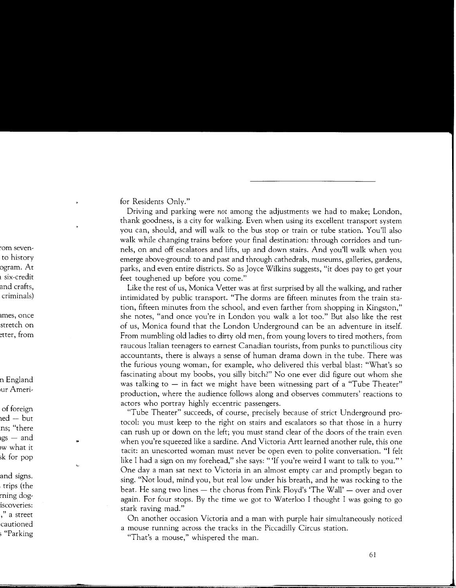for Residents Only."

Driving and parking were *not* among the adjustments we had to make; London, thank goodness, is a city for walking. Even when using its excellent transport system you can, should, and will walk to the bus stop or train or tube station. You'll also walk while changing trains before your final destination: through corridors and tunnels, on and off escalators and lifts, up and down stairs. And you'll walk when you emerge above-ground: to and past and through cathedrals, museums, galleries, gardens, parks, and even entire districts. So as Joyce Wilkins suggests, "it does pay to get your feet toughened up before you come."

Like the rest of us, Monica Vetter was at first surprised by all the walking, and rather intimidated by public transport. "The dorms are fifteen minutes from the train station, fifteen minutes from the school, and even farther from shopping in Kingston," she notes, "and once you're in London you walk a lot too." But also like the rest of us, Monica found that the London Underground can be an adventure in itself. From mumbling old ladies to dirty old men, from young lovers to tired mothers, from raucous Italian teenagers to earnest Canadian tourists, from punks to punctilious city accountants, there is always a sense of human drama down in the tube. There was the furious young woman, for example, who delivered this verbal blast: "What's so fascinating about my boobs, you silly bitch?" No one ever did figure out whom she was talking to  $-$  in fact we might have been witnessing part of a "Tube Theater" production, where the audience follows along and observes commuters' reactions to actors who portray highly eccentric passengers.

"Tube Theater" succeeds, of course, precisely because of strict Underground protocol: you must keep to the right on stairs and escalators so that those in a hurry can rush up or down on the left; you must stand clear of the doors of the train even when you're squeezed like a sardine. And Victoria Artt learned another rule, this one tacit: an unescorted woman must never be open even to polite conversation. "I felt like I had a sign on my forehead," she says: "'If you're weird I want to talk to you."' One day a man sat next to Victoria in an almost empty car and promptly began to sing. "Not loud, mind you, but real low under his breath, and he was rocking to the beat. He sang two lines - the chorus from Pink Floyd's 'The Wall' - over and over again. For four stops. By the time we got to Waterloo I thought I was going to go stark raving mad."

On another occasion Victoria and a man with purple hair simultaneously noticed a mouse running across the tracks in the Piccadilly Circus station.

"That's a mouse," whispered the man.